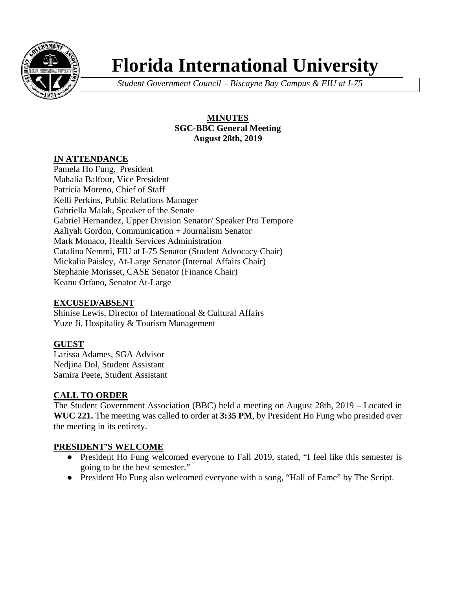

# **Florida International University**

*Student Government Council – Biscayne Bay Campus & FIU at I-75*

# **MINUTES SGC-BBC General Meeting August 28th, 2019**

# **IN ATTENDANCE**

Pamela Ho Fung,, President Mahalia Balfour, Vice President Patricia Moreno, Chief of Staff Kelli Perkins, Public Relations Manager Gabriella Malak, Speaker of the Senate Gabriel Hernandez, Upper Division Senator/ Speaker Pro Tempore Aaliyah Gordon, Communication + Journalism Senator Mark Monaco, Health Services Administration Catalina Nemmi, FIU at I-75 Senator (Student Advocacy Chair) Mickalia Paisley, At-Large Senator (Internal Affairs Chair) Stephanie Morisset, CASE Senator (Finance Chair) Keanu Orfano, Senator At-Large

# **EXCUSED/ABSENT**

Shinise Lewis, Director of International & Cultural Affairs Yuze Ji, Hospitality & Tourism Management

# **GUEST**

Larissa Adames, SGA Advisor Nedjina Dol, Student Assistant Samira Peete, Student Assistant

# **CALL TO ORDER**

The Student Government Association (BBC) held a meeting on August 28th, 2019 – Located in **WUC 221.** The meeting was called to order at **3:35 PM**, by President Ho Fung who presided over the meeting in its entirety.

# **PRESIDENT'S WELCOME**

- President Ho Fung welcomed everyone to Fall 2019, stated, "I feel like this semester is going to be the best semester."
- President Ho Fung also welcomed everyone with a song, "Hall of Fame" by The Script.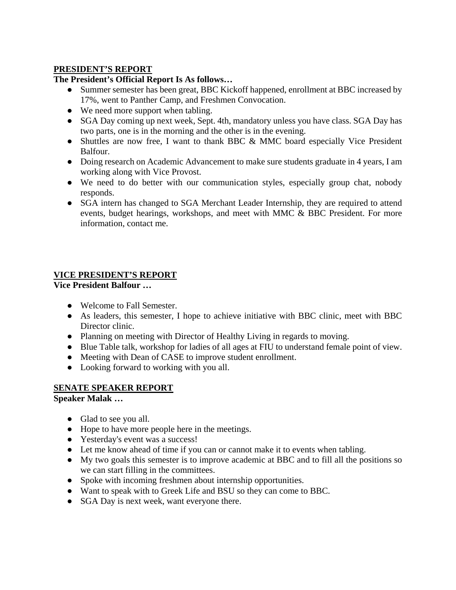# **PRESIDENT'S REPORT**

# **The President's Official Report Is As follows…**

- Summer semester has been great, BBC Kickoff happened, enrollment at BBC increased by 17%, went to Panther Camp, and Freshmen Convocation.
- We need more support when tabling.
- SGA Day coming up next week, Sept. 4th, mandatory unless you have class. SGA Day has two parts, one is in the morning and the other is in the evening.
- Shuttles are now free, I want to thank BBC & MMC board especially Vice President Balfour.
- Doing research on Academic Advancement to make sure students graduate in 4 years, I am working along with Vice Provost.
- We need to do better with our communication styles, especially group chat, nobody responds.
- SGA intern has changed to SGA Merchant Leader Internship, they are required to attend events, budget hearings, workshops, and meet with MMC & BBC President. For more information, contact me.

# **VICE PRESIDENT'S REPORT**

**Vice President Balfour …** 

- Welcome to Fall Semester.
- As leaders, this semester, I hope to achieve initiative with BBC clinic, meet with BBC Director clinic.
- Planning on meeting with Director of Healthy Living in regards to moving.
- Blue Table talk, workshop for ladies of all ages at FIU to understand female point of view.
- Meeting with Dean of CASE to improve student enrollment.
- Looking forward to working with you all.

# **SENATE SPEAKER REPORT**

**Speaker Malak …** 

- Glad to see you all.
- Hope to have more people here in the meetings.
- Yesterday's event was a success!
- Let me know ahead of time if you can or cannot make it to events when tabling.
- My two goals this semester is to improve academic at BBC and to fill all the positions so we can start filling in the committees.
- Spoke with incoming freshmen about internship opportunities.
- Want to speak with to Greek Life and BSU so they can come to BBC.
- SGA Day is next week, want everyone there.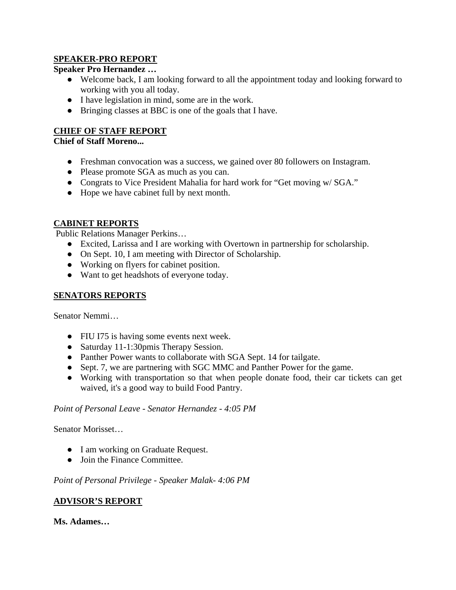# **SPEAKER-PRO REPORT**

## **Speaker Pro Hernandez …**

- Welcome back, I am looking forward to all the appointment today and looking forward to working with you all today.
- I have legislation in mind, some are in the work.
- Bringing classes at BBC is one of the goals that I have.

# **CHIEF OF STAFF REPORT**

## **Chief of Staff Moreno...**

- Freshman convocation was a success, we gained over 80 followers on Instagram.
- Please promote SGA as much as you can.
- Congrats to Vice President Mahalia for hard work for "Get moving w/ SGA."
- Hope we have cabinet full by next month.

# **CABINET REPORTS**

Public Relations Manager Perkins…

- Excited, Larissa and I are working with Overtown in partnership for scholarship.
- On Sept. 10, I am meeting with Director of Scholarship.
- Working on flyers for cabinet position.
- Want to get headshots of everyone today.

## **SENATORS REPORTS**

Senator Nemmi…

- FIU I75 is having some events next week.
- Saturday 11-1:30pmis Therapy Session.
- Panther Power wants to collaborate with SGA Sept. 14 for tailgate.
- Sept. 7, we are partnering with SGC MMC and Panther Power for the game.
- Working with transportation so that when people donate food, their car tickets can get waived, it's a good way to build Food Pantry.

#### *Point of Personal Leave - Senator Hernandez - 4:05 PM*

Senator Morisset…

- I am working on Graduate Request.
- Join the Finance Committee.

*Point of Personal Privilege - Speaker Malak- 4:06 PM*

#### **ADVISOR'S REPORT**

**Ms. Adames…**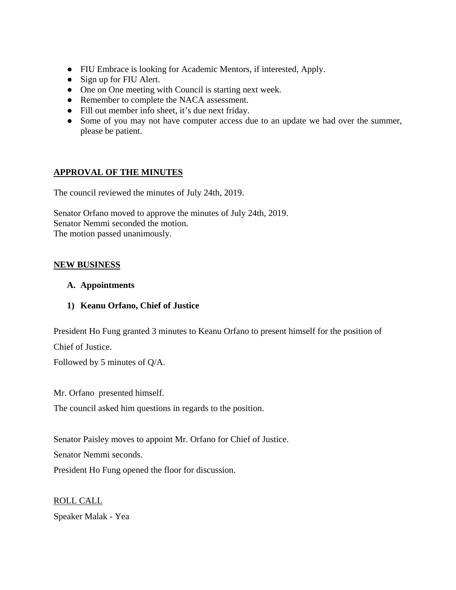- FIU Embrace is looking for Academic Mentors, if interested, Apply.
- Sign up for FIU Alert.
- One on One meeting with Council is starting next week.
- Remember to complete the NACA assessment.
- Fill out member info sheet, it's due next friday.
- Some of you may not have computer access due to an update we had over the summer, please be patient.

# **APPROVAL OF THE MINUTES**

The council reviewed the minutes of July 24th, 2019.

Senator Orfano moved to approve the minutes of July 24th, 2019. Senator Nemmi seconded the motion. The motion passed unanimously.

# **NEW BUSINESS**

#### **A. Appointments**

**1) Keanu Orfano, Chief of Justice** 

President Ho Fung granted 3 minutes to Keanu Orfano to present himself for the position of Chief of Justice.

Followed by 5 minutes of Q/A.

Mr. Orfano presented himself.

The council asked him questions in regards to the position.

Senator Paisley moves to appoint Mr. Orfano for Chief of Justice.

Senator Nemmi seconds.

President Ho Fung opened the floor for discussion.

ROLL CALL Speaker Malak - Yea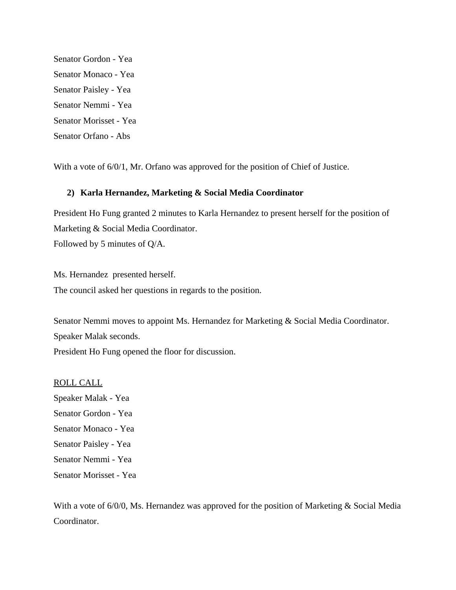Senator Gordon - Yea Senator Monaco - Yea Senator Paisley - Yea Senator Nemmi - Yea Senator Morisset - Yea Senator Orfano - Abs

With a vote of  $6/0/1$ , Mr. Orfano was approved for the position of Chief of Justice.

#### **2) Karla Hernandez, Marketing & Social Media Coordinator**

President Ho Fung granted 2 minutes to Karla Hernandez to present herself for the position of Marketing & Social Media Coordinator. Followed by 5 minutes of Q/A.

Ms. Hernandez presented herself. The council asked her questions in regards to the position.

Senator Nemmi moves to appoint Ms. Hernandez for Marketing & Social Media Coordinator. Speaker Malak seconds.

President Ho Fung opened the floor for discussion.

#### ROLL CALL

Speaker Malak - Yea Senator Gordon - Yea Senator Monaco - Yea Senator Paisley - Yea Senator Nemmi - Yea Senator Morisset - Yea

With a vote of 6/0/0, Ms. Hernandez was approved for the position of Marketing & Social Media Coordinator.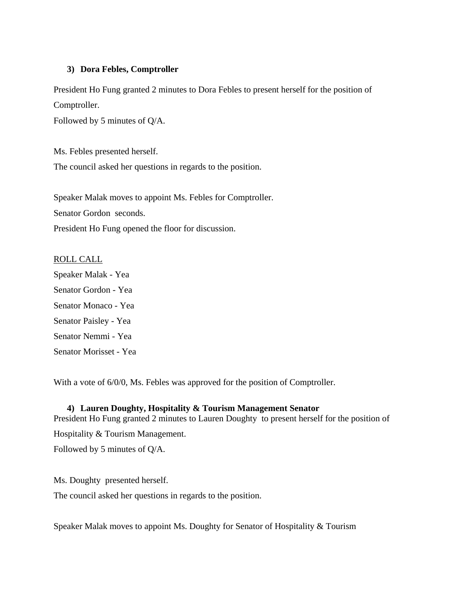#### **3) Dora Febles, Comptroller**

President Ho Fung granted 2 minutes to Dora Febles to present herself for the position of Comptroller.

Followed by 5 minutes of Q/A.

Ms. Febles presented herself. The council asked her questions in regards to the position.

Speaker Malak moves to appoint Ms. Febles for Comptroller. Senator Gordon seconds. President Ho Fung opened the floor for discussion.

#### ROLL CALL

Speaker Malak - Yea Senator Gordon - Yea Senator Monaco - Yea Senator Paisley - Yea Senator Nemmi - Yea Senator Morisset - Yea

With a vote of 6/0/0, Ms. Febles was approved for the position of Comptroller.

#### **4) Lauren Doughty, Hospitality & Tourism Management Senator**

President Ho Fung granted 2 minutes to Lauren Doughty to present herself for the position of

Hospitality & Tourism Management.

Followed by 5 minutes of Q/A.

Ms. Doughty presented herself.

The council asked her questions in regards to the position.

Speaker Malak moves to appoint Ms. Doughty for Senator of Hospitality & Tourism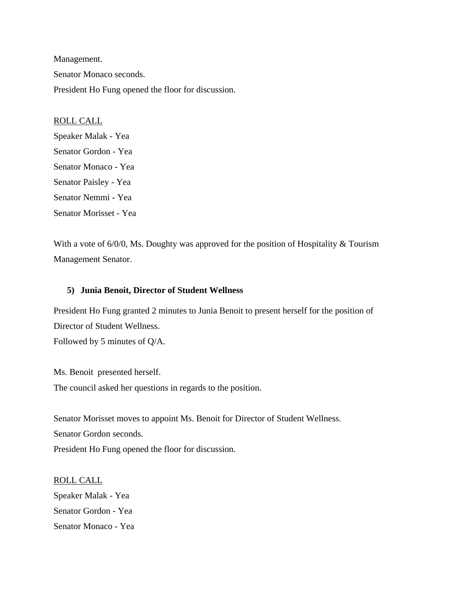Management. Senator Monaco seconds. President Ho Fung opened the floor for discussion.

ROLL CALL Speaker Malak - Yea Senator Gordon - Yea Senator Monaco - Yea Senator Paisley - Yea Senator Nemmi - Yea Senator Morisset - Yea

With a vote of 6/0/0, Ms. Doughty was approved for the position of Hospitality & Tourism Management Senator.

#### **5) Junia Benoit, Director of Student Wellness**

President Ho Fung granted 2 minutes to Junia Benoit to present herself for the position of Director of Student Wellness. Followed by 5 minutes of Q/A.

Ms. Benoit presented herself. The council asked her questions in regards to the position.

Senator Morisset moves to appoint Ms. Benoit for Director of Student Wellness. Senator Gordon seconds. President Ho Fung opened the floor for discussion.

ROLL CALL Speaker Malak - Yea Senator Gordon - Yea Senator Monaco - Yea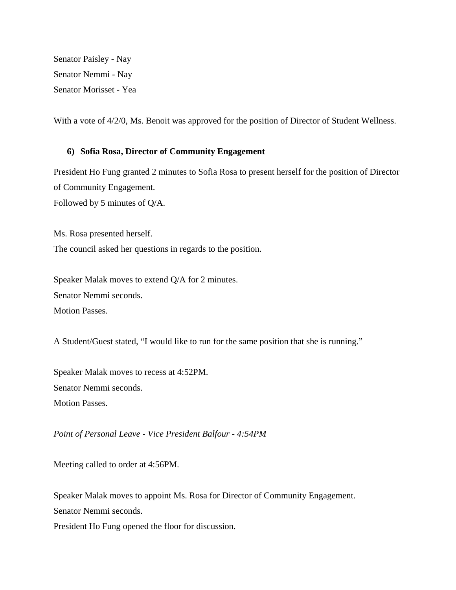Senator Paisley - Nay Senator Nemmi - Nay Senator Morisset - Yea

With a vote of  $4/2/0$ , Ms. Benoit was approved for the position of Director of Student Wellness.

#### **6) Sofia Rosa, Director of Community Engagement**

President Ho Fung granted 2 minutes to Sofia Rosa to present herself for the position of Director of Community Engagement. Followed by 5 minutes of Q/A.

Ms. Rosa presented herself. The council asked her questions in regards to the position.

Speaker Malak moves to extend Q/A for 2 minutes. Senator Nemmi seconds. Motion Passes.

A Student/Guest stated, "I would like to run for the same position that she is running."

Speaker Malak moves to recess at 4:52PM. Senator Nemmi seconds. Motion Passes.

*Point of Personal Leave - Vice President Balfour - 4:54PM*

Meeting called to order at 4:56PM.

Speaker Malak moves to appoint Ms. Rosa for Director of Community Engagement.

Senator Nemmi seconds.

President Ho Fung opened the floor for discussion.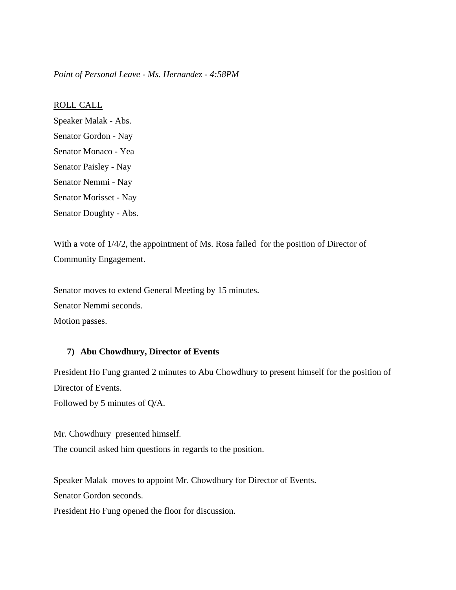*Point of Personal Leave - Ms. Hernandez - 4:58PM*

ROLL CALL

Speaker Malak - Abs. Senator Gordon - Nay Senator Monaco - Yea Senator Paisley - Nay Senator Nemmi - Nay Senator Morisset - Nay Senator Doughty - Abs.

With a vote of  $1/4/2$ , the appointment of Ms. Rosa failed for the position of Director of Community Engagement.

Senator moves to extend General Meeting by 15 minutes.

Senator Nemmi seconds.

Motion passes.

#### **7) Abu Chowdhury, Director of Events**

President Ho Fung granted 2 minutes to Abu Chowdhury to present himself for the position of Director of Events.

Followed by 5 minutes of Q/A.

Mr. Chowdhury presented himself. The council asked him questions in regards to the position.

Speaker Malak moves to appoint Mr. Chowdhury for Director of Events.

Senator Gordon seconds.

President Ho Fung opened the floor for discussion.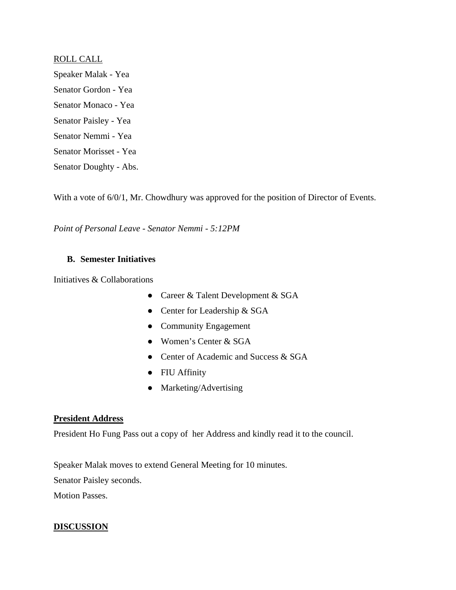#### ROLL CALL

Speaker Malak - Yea Senator Gordon - Yea Senator Monaco - Yea Senator Paisley - Yea Senator Nemmi - Yea Senator Morisset - Yea Senator Doughty - Abs.

With a vote of  $6/0/1$ , Mr. Chowdhury was approved for the position of Director of Events.

*Point of Personal Leave - Senator Nemmi - 5:12PM*

#### **B. Semester Initiatives**

Initiatives & Collaborations

- Career & Talent Development & SGA
- Center for Leadership & SGA
- Community Engagement
- Women's Center & SGA
- Center of Academic and Success & SGA
- FIU Affinity
- Marketing/Advertising

#### **President Address**

President Ho Fung Pass out a copy of her Address and kindly read it to the council.

Speaker Malak moves to extend General Meeting for 10 minutes.

Senator Paisley seconds.

Motion Passes.

#### **DISCUSSION**